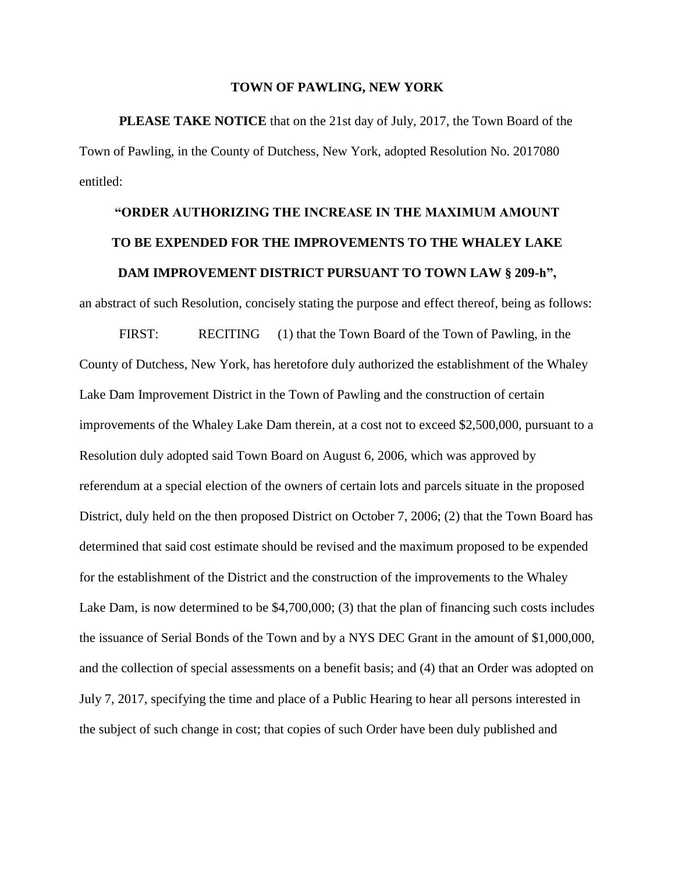## **TOWN OF PAWLING, NEW YORK**

**PLEASE TAKE NOTICE** that on the 21st day of July, 2017, the Town Board of the Town of Pawling, in the County of Dutchess, New York, adopted Resolution No. 2017080 entitled:

## **"ORDER AUTHORIZING THE INCREASE IN THE MAXIMUM AMOUNT TO BE EXPENDED FOR THE IMPROVEMENTS TO THE WHALEY LAKE DAM IMPROVEMENT DISTRICT PURSUANT TO TOWN LAW § 209-h",**

an abstract of such Resolution, concisely stating the purpose and effect thereof, being as follows:

FIRST: RECITING (1) that the Town Board of the Town of Pawling, in the County of Dutchess, New York, has heretofore duly authorized the establishment of the Whaley Lake Dam Improvement District in the Town of Pawling and the construction of certain improvements of the Whaley Lake Dam therein, at a cost not to exceed \$2,500,000, pursuant to a Resolution duly adopted said Town Board on August 6, 2006, which was approved by referendum at a special election of the owners of certain lots and parcels situate in the proposed District, duly held on the then proposed District on October 7, 2006; (2) that the Town Board has determined that said cost estimate should be revised and the maximum proposed to be expended for the establishment of the District and the construction of the improvements to the Whaley Lake Dam, is now determined to be \$4,700,000; (3) that the plan of financing such costs includes the issuance of Serial Bonds of the Town and by a NYS DEC Grant in the amount of \$1,000,000, and the collection of special assessments on a benefit basis; and (4) that an Order was adopted on July 7, 2017, specifying the time and place of a Public Hearing to hear all persons interested in the subject of such change in cost; that copies of such Order have been duly published and